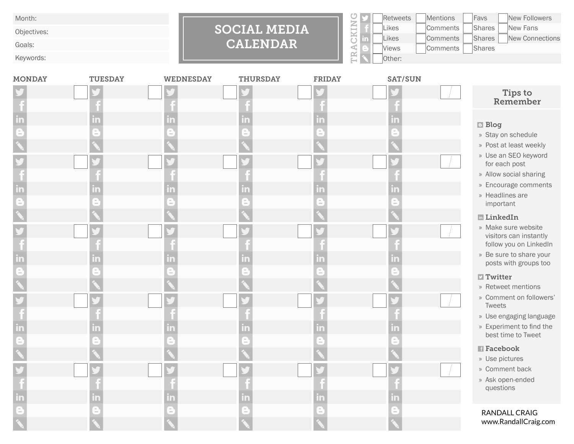Month:

Objectives:

Goals:

Keywords:



|    | <b>Retweets</b> | <b>Mentions</b> | Favs          | <b>New Followers</b> |
|----|-----------------|-----------------|---------------|----------------------|
|    | Likes           | Comments        | Shares        | New Fans             |
| m. | Likes           | Comments        | <b>Shares</b> | New Connections      |
|    | <b>Views</b>    | Comments        | Shares        |                      |
|    | Other:          |                 |               |                      |

| <b>MONDAY</b> | <b>TUESDAY</b> | <b>WEDNESDAY</b> | <b>THURSDAY</b> | <b>FRIDAY</b> | <b>SAT/SUN</b> |                                                                                                                                                                                                                                                                                                                                                                                                                         |
|---------------|----------------|------------------|-----------------|---------------|----------------|-------------------------------------------------------------------------------------------------------------------------------------------------------------------------------------------------------------------------------------------------------------------------------------------------------------------------------------------------------------------------------------------------------------------------|
|               |                |                  |                 |               |                | Tips to<br>Remember                                                                                                                                                                                                                                                                                                                                                                                                     |
|               |                | m                | m<br>n<br>m     |               |                | <b>Blog</b><br>» Stay on schedule<br>» Post at least weekly<br>» Use an SEO keyword<br>for each post<br>» Allow social sharing<br>» Encourage comments<br>» Headlines are<br>important<br><b>E</b> LinkedIn<br>» Make sure website<br>visitors can instantly<br>follow you on LinkedIn<br>» Be sure to share your<br>posts with groups too<br>$\Box$ Twitter<br>» Retweet mentions<br>» Comment on followers'<br>Tweets |
|               |                | l n'             | m<br>m          | l n           |                | » Use engaging language<br>» Experiment to find the<br>best time to Tweet<br><b>F</b> acebook<br>» Use pictures<br>» Comment back<br>» Ask open-ended<br>questions                                                                                                                                                                                                                                                      |
|               |                |                  |                 |               |                | <b>RANDALL CRAIG</b><br>www.RandallCraig.com                                                                                                                                                                                                                                                                                                                                                                            |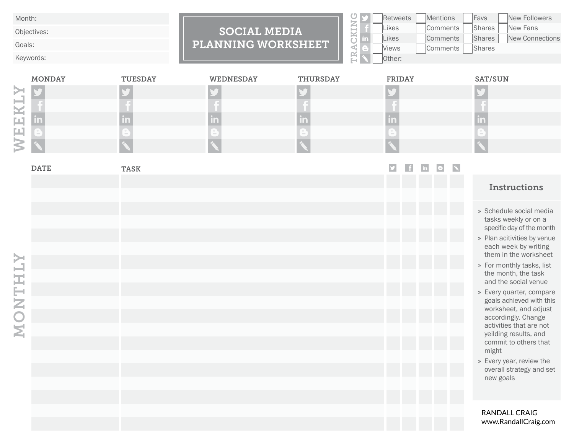Month:

Objectives:

Goals:

Keywords:

## SOCIAL MEDIA PLANNING WORKSHEET

|   | <b>Retweets</b> | <b>Mentions</b> | Favs   | <b>New Followers</b>   |
|---|-----------------|-----------------|--------|------------------------|
|   | <b>Likes</b>    | Comments        | Shares | New Fans               |
| m | Likes           | Comments        | Shares | <b>New Connections</b> |
|   | <b>Views</b>    | Comments        | Shares |                        |
|   | Other:          |                 |        |                        |

|   | <b>MONDAY</b>            | <b>TUESDAY</b>                         | <b>WEDNESDAY</b> | <b>THURSDAY</b> | <b>FRIDAY</b>       | <b>SAT/SUN</b> |
|---|--------------------------|----------------------------------------|------------------|-----------------|---------------------|----------------|
|   |                          |                                        |                  |                 |                     |                |
| w |                          |                                        |                  |                 |                     |                |
|   |                          |                                        |                  |                 |                     |                |
|   | $\overline{\phantom{a}}$ | <b>COLLECTION</b><br><b>COLLECTION</b> | <b>COLOR</b>     | $\sim$<br>$-$   | $-$<br><b>COLOR</b> | <b>COLOR</b>   |
|   |                          |                                        |                  |                 |                     |                |

| <b>DATE</b> | <b>TASK</b> |  | e. |                                                                                                                                                                                                                                                                                                                                                                                                                                                                                                             |
|-------------|-------------|--|----|-------------------------------------------------------------------------------------------------------------------------------------------------------------------------------------------------------------------------------------------------------------------------------------------------------------------------------------------------------------------------------------------------------------------------------------------------------------------------------------------------------------|
|             |             |  |    | <b>Instructions</b>                                                                                                                                                                                                                                                                                                                                                                                                                                                                                         |
|             |             |  |    | » Schedule social media<br>tasks weekly or on a<br>specific day of the month<br>» Plan acitivities by venue<br>each week by writing<br>them in the worksheet<br>» For monthly tasks, list<br>the month, the task<br>and the social venue<br>» Every quarter, compare<br>goals achieved with this<br>worksheet, and adjust<br>accordingly. Change<br>activities that are not<br>yeilding results, and<br>commit to others that<br>might<br>» Every year, review the<br>overall strategy and set<br>new goals |
|             |             |  |    | RANDALL CRAIG<br>www.RandallCraig.com                                                                                                                                                                                                                                                                                                                                                                                                                                                                       |